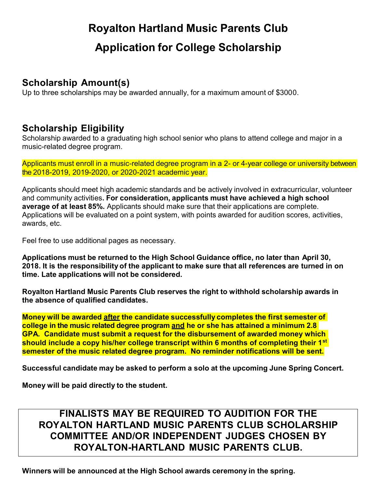# Royalton Hartland Music Parents Club Application for College Scholarship

#### Scholarship Amount(s)

Up to three scholarships may be awarded annually, for a maximum amount of \$3000.

### Scholarship Eligibility

Scholarship awarded to a graduating high school senior who plans to attend college and major in a music-related degree program.

Applicants must enroll in a music-related degree program in a 2- or 4-year college or university between the 2018-2019, 2019-2020, or 2020-2021 academic year.

Applicants should meet high academic standards and be actively involved in extracurricular, volunteer and community activities. For consideration, applicants must have achieved a high school average of at least 85%. Applicants should make sure that their applications are complete. Applications will be evaluated on a point system, with points awarded for audition scores, activities, awards, etc.

Feel free to use additional pages as necessary.

Applications must be returned to the High School Guidance office, no later than April 30, 2018. It is the responsibility of the applicant to make sure that all references are turned in on time. Late applications will not be considered.

Royalton Hartland Music Parents Club reserves the right to withhold scholarship awards in the absence of qualified candidates.

Money will be awarded after the candidate successfully completes the first semester of college in the music related degree program and he or she has attained a minimum 2.8 GPA. Candidate must submit a request for the disbursement of awarded money which should include a copy his/her college transcript within 6 months of completing their 1<sup>st</sup> semester of the music related degree program. No reminder notifications will be sent.

Successful candidate may be asked to perform a solo at the upcoming June Spring Concert.

Money will be paid directly to the student.

### FINALISTS MAY BE REQUIRED TO AUDITION FOR THE ROYALTON HARTLAND MUSIC PARENTS CLUB SCHOLARSHIP COMMITTEE AND/OR INDEPENDENT JUDGES CHOSEN BY ROYALTON-HARTLAND MUSIC PARENTS CLUB.

Winners will be announced at the High School awards ceremony in the spring.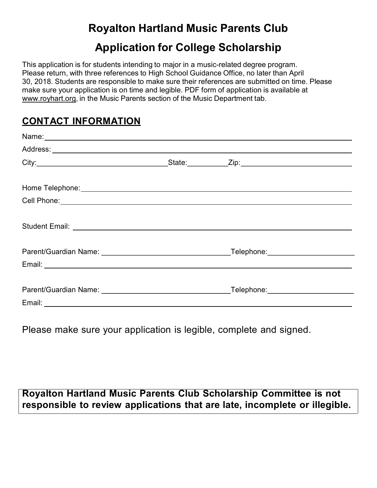# Royalton Hartland Music Parents Club

# Application for College Scholarship

This application is for students intending to major in a music-related degree program. Please return, with three references to High School Guidance Office, no later than April 30, 2018. Students are responsible to make sure their references are submitted on time. Please make sure your application is on time and legible. PDF form of application is available at www.royhart.org, in the Music Parents section of the Music Department tab.

## CONTACT INFORMATION

| Name: Name: Name: Name: Name: Name: Name: Name: Name: Name: Name: Name: Name: Name: Name: Name: Name: Name: Name: Name: Name: Name: Name: Name: Name: Name: Name: Name: Name: Name: Name: Name: Name: Name: Name: Name: Name: |  |  |
|-------------------------------------------------------------------------------------------------------------------------------------------------------------------------------------------------------------------------------|--|--|
|                                                                                                                                                                                                                               |  |  |
|                                                                                                                                                                                                                               |  |  |
|                                                                                                                                                                                                                               |  |  |
|                                                                                                                                                                                                                               |  |  |
|                                                                                                                                                                                                                               |  |  |
|                                                                                                                                                                                                                               |  |  |
|                                                                                                                                                                                                                               |  |  |
|                                                                                                                                                                                                                               |  |  |
|                                                                                                                                                                                                                               |  |  |

Please make sure your application is legible, complete and signed.

### Royalton Hartland Music Parents Club Scholarship Committee is not responsible to review applications that are late, incomplete or illegible.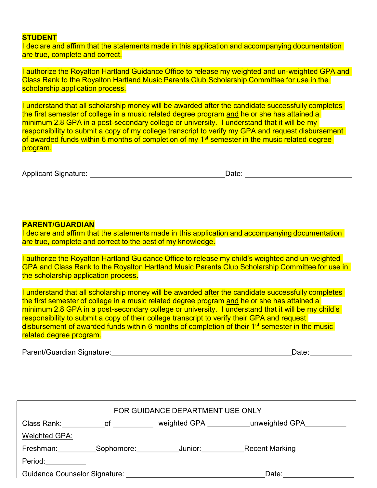#### **STUDENT**

I declare and affirm that the statements made in this application and accompanying documentation are true, complete and correct.

I authorize the Royalton Hartland Guidance Office to release my weighted and un-weighted GPA and Class Rank to the Royalton Hartland Music Parents Club Scholarship Committee for use in the scholarship application process.

I understand that all scholarship money will be awarded after the candidate successfully completes the first semester of college in a music related degree program and he or she has attained a minimum 2.8 GPA in a post-secondary college or university. I understand that it will be my responsibility to submit a copy of my college transcript to verify my GPA and request disbursement of awarded funds within 6 months of completion of my 1<sup>st</sup> semester in the music related degree program.

| <b>Applicant Signature:</b> | Date |  |
|-----------------------------|------|--|
|                             |      |  |

#### PARENT/GUARDIAN

I declare and affirm that the statements made in this application and accompanying documentation are true, complete and correct to the best of my knowledge.

I authorize the Royalton Hartland Guidance Office to release my child's weighted and un-weighted GPA and Class Rank to the Royalton Hartland Music Parents Club Scholarship Committee for use in the scholarship application process.

I understand that all scholarship money will be awarded after the candidate successfully completes the first semester of college in a music related degree program and he or she has attained a minimum 2.8 GPA in a post-secondary college or university. I understand that it will be my child's responsibility to submit a copy of their college transcript to verify their GPA and request disbursement of awarded funds within 6 months of completion of their 1<sup>st</sup> semester in the music related degree program.

| Parent/Guardian Signature: | Date |  |
|----------------------------|------|--|
|                            |      |  |

| FOR GUIDANCE DEPARTMENT USE ONLY     |            |              |                       |  |  |  |  |  |  |
|--------------------------------------|------------|--------------|-----------------------|--|--|--|--|--|--|
| Class Rank:                          | of the set | weighted GPA | unweighted GPA        |  |  |  |  |  |  |
| Weighted GPA:                        |            |              |                       |  |  |  |  |  |  |
| Freshman:                            | Sophomore: | Junior:      | <b>Recent Marking</b> |  |  |  |  |  |  |
| Period:                              |            |              |                       |  |  |  |  |  |  |
| <b>Guidance Counselor Signature:</b> |            |              | Date:                 |  |  |  |  |  |  |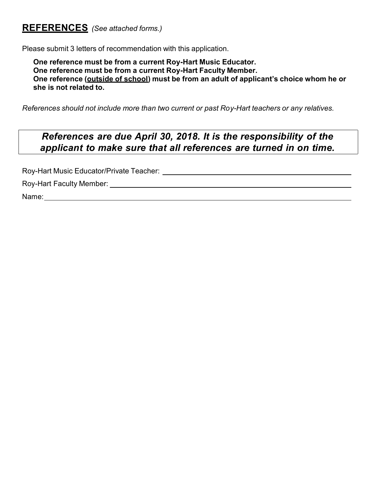#### **REFERENCES** (See attached forms.)

Please submit 3 letters of recommendation with this application.

One reference must be from a current Roy-Hart Music Educator. One reference must be from a current Roy-Hart Faculty Member. One reference (outside of school) must be from an adult of applicant's choice whom he or she is not related to.

References should not include more than two current or past Roy-Hart teachers or any relatives.

### References are due April 30, 2018. It is the responsibility of the applicant to make sure that all references are turned in on time.

Roy-Hart Music Educator/Private Teacher:

Roy-Hart Faculty Member:

Name: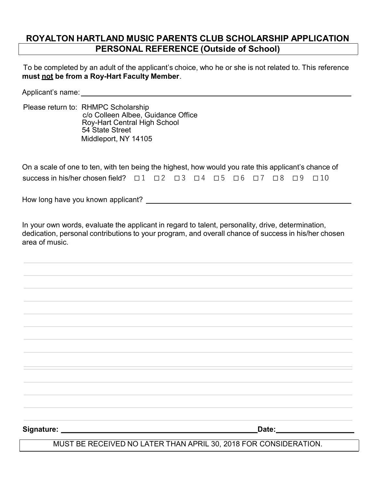#### ROYALTON HARTLAND MUSIC PARENTS CLUB SCHOLARSHIP APPLICATION PERSONAL REFERENCE (Outside of School)

To be completed by an adult of the applicant's choice, who he or she is not related to. This reference must not be from a Roy-Hart Faculty Member.

Applicant's name:

 Please return to: RHMPC Scholarship c/o Colleen Albee, Guidance Office Roy-Hart Central High School 54 State Street Middleport, NY 14105

| On a scale of one to ten, with ten being the highest, how would you rate this applicant's chance of                         |  |  |  |  |  |
|-----------------------------------------------------------------------------------------------------------------------------|--|--|--|--|--|
| success in his/her chosen field? $\Box$ 1 $\Box$ 2 $\Box$ 3 $\Box$ 4 $\Box$ 5 $\Box$ 6 $\Box$ 7 $\Box$ 8 $\Box$ 9 $\Box$ 10 |  |  |  |  |  |

How long have you known applicant?

In your own words, evaluate the applicant in regard to talent, personality, drive, determination, dedication, personal contributions to your program, and overall chance of success in his/her chosen area of music.

Signature: Date:

MUST BE RECEIVED NO LATER THAN APRIL 30, 2018 FOR CONSIDERATION.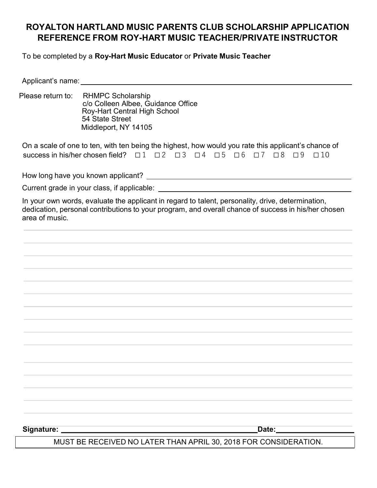#### ROYALTON HARTLAND MUSIC PARENTS CLUB SCHOLARSHIP APPLICATION REFERENCE FROM ROY-HART MUSIC TEACHER/PRIVATE INSTRUCTOR

To be completed by a Roy-Hart Music Educator or Private Music Teacher

Applicant's name: Manual Applicant's name:

Please return to: RHMPC Scholarship c/o Colleen Albee, Guidance Office Roy-Hart Central High School 54 State Street Middleport, NY 14105

| On a scale of one to ten, with ten being the highest, how would you rate this applicant's chance of                         |  |  |  |  |  |  |
|-----------------------------------------------------------------------------------------------------------------------------|--|--|--|--|--|--|
| success in his/her chosen field? $\Box$ 1 $\Box$ 2 $\Box$ 3 $\Box$ 4 $\Box$ 5 $\Box$ 6 $\Box$ 7 $\Box$ 8 $\Box$ 9 $\Box$ 10 |  |  |  |  |  |  |

How long have you known applicant?

Current grade in your class, if applicable:

In your own words, evaluate the applicant in regard to talent, personality, drive, determination, dedication, personal contributions to your program, and overall chance of success in his/her chosen area of music.

Signature: Date:

MUST BE RECEIVED NO LATER THAN APRIL 30, 2018 FOR CONSIDERATION.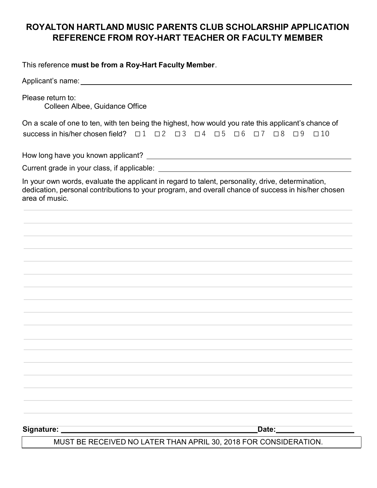#### ROYALTON HARTLAND MUSIC PARENTS CLUB SCHOLARSHIP APPLICATION REFERENCE FROM ROY-HART TEACHER OR FACULTY MEMBER

This reference must be from a Roy-Hart Faculty Member.

Applicant's name: <u>contract and a set of the set of the set of the set of the set of the set of the set of the set of the set of the set of the set of the set of the set of the set of the set of the set of the set of the s</u>

Please return to:

Colleen Albee, Guidance Office

| On a scale of one to ten, with ten being the highest, how would you rate this applicant's chance of                         |  |  |  |  |  |
|-----------------------------------------------------------------------------------------------------------------------------|--|--|--|--|--|
| success in his/her chosen field? $\Box$ 1 $\Box$ 2 $\Box$ 3 $\Box$ 4 $\Box$ 5 $\Box$ 6 $\Box$ 7 $\Box$ 8 $\Box$ 9 $\Box$ 10 |  |  |  |  |  |

How long have you known applicant?

Current grade in your class, if applicable:

In your own words, evaluate the applicant in regard to talent, personality, drive, determination, dedication, personal contributions to your program, and overall chance of success in his/her chosen area of music.



MUST BE RECEIVED NO LATER THAN APRIL 30, 2018 FOR CONSIDERATION.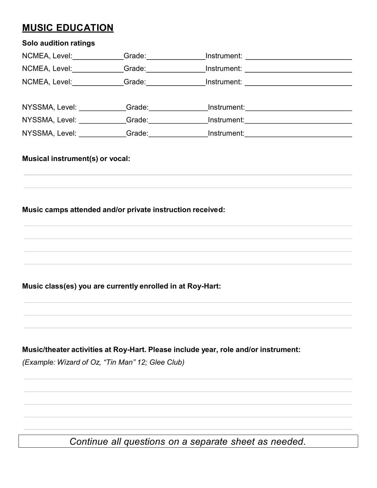### MUSIC EDUCATION

| Solo audition ratings                                      |                                                                                                                                                                                                                                |  |
|------------------------------------------------------------|--------------------------------------------------------------------------------------------------------------------------------------------------------------------------------------------------------------------------------|--|
|                                                            | NCMEA, Level: Grade: Cambridge Contract Contract Contract Contract Contract Contract Contract Contract Contract Contract Contract Contract Contract Contract Contract Contract Contract Contract Contract Contract Contract Co |  |
|                                                            | NCMEA, Level: Grade: Canade: Communication of the United States of the United States of the United States of t                                                                                                                 |  |
|                                                            | NCMEA, Level: Grade: Cambridge Contract Contract Contract Contract Contract Contract Contract Contract Contract Contract Contract Contract Contract Contract Contract Contract Contract Contract Contract Contract Contract Co |  |
|                                                            | NYSSMA, Level: ___________Grade: ______________Instrument: _____________________                                                                                                                                               |  |
|                                                            | NYSSMA, Level: ___________Grade: ______________Instrument: _____________________                                                                                                                                               |  |
|                                                            | NYSSMA, Level: ___________Grade: ______________Instrument: _____________________                                                                                                                                               |  |
| Musical instrument(s) or vocal:                            |                                                                                                                                                                                                                                |  |
| Music camps attended and/or private instruction received:  |                                                                                                                                                                                                                                |  |
| Music class(es) you are currently enrolled in at Roy-Hart: |                                                                                                                                                                                                                                |  |
|                                                            |                                                                                                                                                                                                                                |  |
|                                                            | Music/theater activities at Roy-Hart. Please include year, role and/or instrument:                                                                                                                                             |  |
| (Example: Wizard of Oz, "Tin Man" 12; Glee Club)           |                                                                                                                                                                                                                                |  |
|                                                            |                                                                                                                                                                                                                                |  |
|                                                            |                                                                                                                                                                                                                                |  |
|                                                            |                                                                                                                                                                                                                                |  |
|                                                            |                                                                                                                                                                                                                                |  |

Continue all questions on a separate sheet as needed.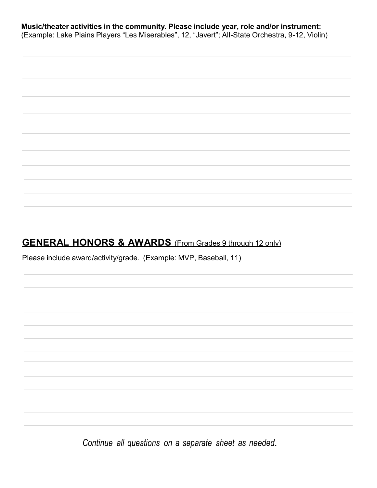Music/theater activities in the community. Please include year, role and/or instrument: (Example: Lake Plains Players "Les Miserables", 12, "Javert"; All-State Orchestra, 9-12, Violin)

| ,我们也不会有什么。""我们的人,我们也不会有什么?""我们的人,我们也不会有什么?""我们的人,我们也不会有什么?""我们的人,我们也不会有什么?""我们的人 |  |
|----------------------------------------------------------------------------------|--|
|                                                                                  |  |
|                                                                                  |  |
|                                                                                  |  |
|                                                                                  |  |
|                                                                                  |  |
|                                                                                  |  |
|                                                                                  |  |
|                                                                                  |  |
| ,我们也不会有什么。""我们的人,我们也不会有什么?""我们的人,我们也不会有什么?""我们的人,我们也不会有什么?""我们的人,我们也不会有什么?""我们的人 |  |
|                                                                                  |  |
|                                                                                  |  |
|                                                                                  |  |
|                                                                                  |  |
|                                                                                  |  |
|                                                                                  |  |
|                                                                                  |  |
|                                                                                  |  |
|                                                                                  |  |
|                                                                                  |  |
|                                                                                  |  |

#### **GENERAL HONORS & AWARDS** (From Grades 9 through 12 only)

Please include award/activity/grade. (Example: MVP, Baseball, 11)

Continue all questions on a separate sheet as needed.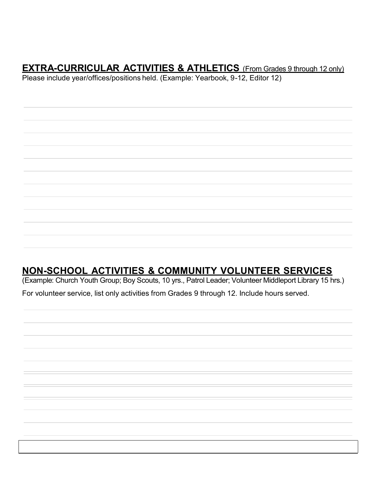# EXTRA-CURRICULAR ACTIVITIES & ATHLETICS (From Grades 9 through 12 only)

Please include year/offices/positions held. (Example: Yearbook, 9-12, Editor 12)

### NON-SCHOOL ACTIVITIES & COMMUNITY VOLUNTEER SERVICES

(Example: Church Youth Group; Boy Scouts, 10 yrs., Patrol Leader; Volunteer Middleport Library 15 hrs.)

For volunteer service, list only activities from Grades 9 through 12. Include hours served.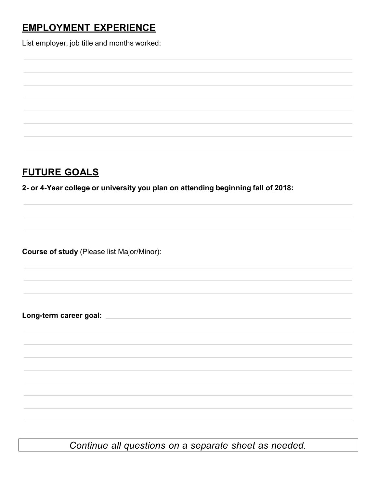### EMPLOYMENT EXPERIENCE

List employer, job title and months worked:

## FUTURE GOALS

2- or 4-Year college or university you plan on attending beginning fall of 2018:

Course of study (Please list Major/Minor):

Long-term career goal:

Continue all questions on a separate sheet as needed.